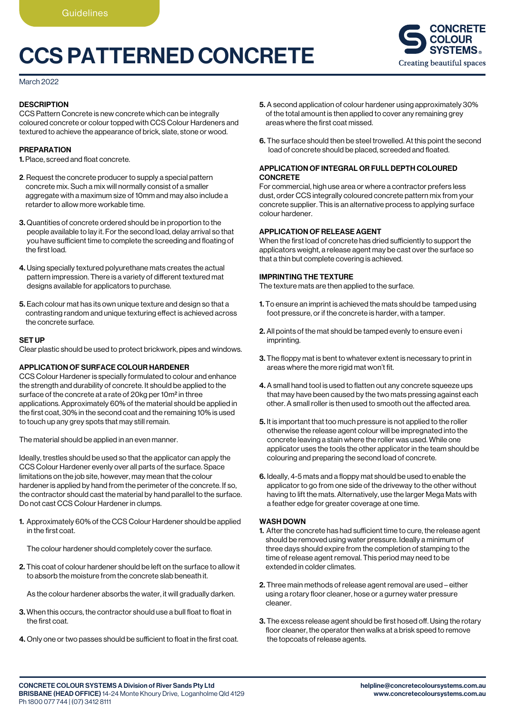# CCS PATTERNED CONCRETE



March 2022

# **DESCRIPTION**

CCS Pattern Concrete is new concrete which can be integrally coloured concrete or colour topped with CCS Colour Hardeners and textured to achieve the appearance of brick, slate, stone or wood.

# PREPARATION

1. Place, screed and float concrete.

- 2. Request the concrete producer to supply a special pattern concrete mix. Such a mix will normally consist of a smaller aggregate with a maximum size of 10mm and may also include a retarder to allow more workable time.
- 3. Quantities of concrete ordered should be in proportion to the people available to lay it. For the second load, delay arrival so that you have sufficient time to complete the screeding and floating of the first load.
- 4. Using specially textured polyurethane mats creates the actual pattern impression. There is a variety of different textured mat designs available for applicators to purchase.
- **5.** Each colour mat has its own unique texture and design so that a contrasting random and unique texturing effect is achieved across the concrete surface.

# **SET UP**

Clear plastic should be used to protect brickwork, pipes and windows.

# APPLICATION OF SURFACE COLOUR HARDENER

CCS Colour Hardener is specially formulated to colour and enhance the strength and durability of concrete. It should be applied to the surface of the concrete at a rate of 20kg per 10m² in three applications. Approximately 60% of the material should be applied in the first coat, 30% in the second coat and the remaining 10% is used to touch up any grey spots that may still remain.

The material should be applied in an even manner.

Ideally, trestles should be used so that the applicator can apply the CCS Colour Hardener evenly over all parts of the surface. Space limitations on the job site, however, may mean that the colour hardener is applied by hand from the perimeter of the concrete. If so, the contractor should cast the material by hand parallel to the surface. Do not cast CCS Colour Hardener in clumps.

1. Approximately 60% of the CCS Colour Hardener should be applied in the first coat.

The colour hardener should completely cover the surface.

- 2. This coat of colour hardener should be left on the surface to allow it to absorb the moisture from the concrete slab beneath it.
	- As the colour hardener absorbs the water, it will gradually darken.
- 3. When this occurs, the contractor should use a bull float to float in the first coat.
- 4. Only one or two passes should be sufficient to float in the first coat.
- 5. A second application of colour hardener using approximately 30% of the total amount is then applied to cover any remaining grey areas where the first coat missed.
- 6. The surface should then be steel trowelled. At this point the second load of concrete should be placed, screeded and floated.

## APPLICATION OF INTEGRAL OR FULL DEPTH COLOURED **CONCRETE**

For commercial, high use area or where a contractor prefers less dust, order CCS integrally coloured concrete pattern mix from your concrete supplier. This is an alternative process to applying surface colour hardener.

## APPLICATION OF RELEASE AGENT

When the first load of concrete has dried sufficiently to support the applicators weight, a release agent may be cast over the surface so that a thin but complete covering is achieved.

## IMPRINTING THE TEXTURE

The texture mats are then applied to the surface.

- 1. To ensure an imprint is achieved the mats should be tamped using foot pressure, or if the concrete is harder, with a tamper.
- 2. All points of the mat should be tamped evenly to ensure even i imprinting.
- 3. The floppy mat is bent to whatever extent is necessary to print in areas where the more rigid mat won't fit.
- 4. A small hand tool is used to flatten out any concrete squeeze ups that may have been caused by the two mats pressing against each other. A small roller is then used to smooth out the affected area.
- 5. It is important that too much pressure is not applied to the roller otherwise the release agent colour will be impregnated into the concrete leaving a stain where the roller was used. While one applicator uses the tools the other applicator in the team should be colouring and preparing the second load of concrete.
- 6. Ideally, 4-5 mats and a floppy mat should be used to enable the applicator to go from one side of the driveway to the other without having to lift the mats. Alternatively, use the larger Mega Mats with a feather edge for greater coverage at one time.

# WASH DOWN

- 1. After the concrete has had sufficient time to cure, the release agent should be removed using water pressure. Ideally a minimum of three days should expire from the completion of stamping to the time of release agent removal. This period may need to be extended in colder climates.
- 2. Three main methods of release agent removal are used either using a rotary floor cleaner, hose or a gurney water pressure cleaner.
- 3. The excess release agent should be first hosed off. Using the rotary floor cleaner, the operator then walks at a brisk speed to remove the topcoats of release agents.